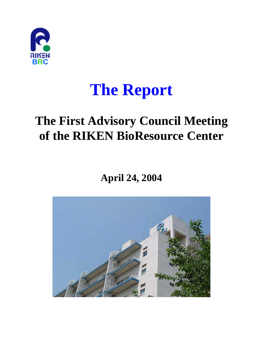

# **The Report**

## **The First Advisory Council Meeting of the RIKEN BioResource Center**

**April 24, 2004**

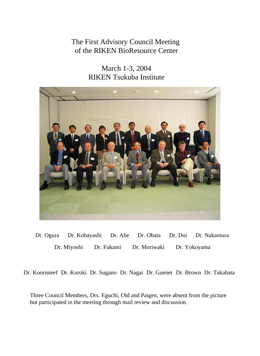## The First Advisory Council Meeting of the RIKEN BioResource Center

March 1-3, 2004 RIKEN Tsukuba Institute



Dr. Ogura Dr. Miyoshi Dr. Kobayashi Dr. Abe Dr. Fukami Dr. Obata Dr. Moriwaki Dr. Yokoyama Dr. Doi Dr. Nakamura

Dr. Koornneef Dr. Kuroki Dr. Sugano Dr. Nagai Dr. Guenet Dr. Brown Dr. Takahata

Three Council Members, Drs. Eguchi, Old and Paigen, were absent from the picture but participated in the meeting through mail review and discussion.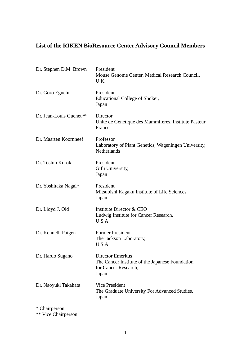## **List of the RIKEN BioResource Center Advisory Council Members**

| Dr. Stephen D.M. Brown  | President<br>Mouse Genome Center, Medical Research Council,<br>U.K.                                   |
|-------------------------|-------------------------------------------------------------------------------------------------------|
| Dr. Goro Eguchi         | President<br>Educational College of Shokei,<br>Japan                                                  |
| Dr. Jean-Louis Guenet** | Director<br>Unite de Genetique des Mammiferes, Institute Pasteur,<br>France                           |
| Dr. Maarten Koornneef   | Professor<br>Laboratory of Plant Genetics, Wageningen University,<br>Netherlands                      |
| Dr. Toshio Kuroki       | President<br>Gifu University,<br>Japan                                                                |
| Dr. Yoshitaka Nagai*    | President<br>Mitsubishi Kagaku Institute of Life Sciences,<br>Japan                                   |
| Dr. Lloyd J. Old        | Institute Director & CEO<br>Ludwig Institute for Cancer Research,<br>U.S.A                            |
| Dr. Kenneth Paigen      | <b>Former President</b><br>The Jackson Laboratory,<br>U.S.A                                           |
| Dr. Haruo Sugano        | Director Emeritus<br>The Cancer Institute of the Japanese Foundation<br>for Cancer Research,<br>Japan |
| Dr. Naoyuki Takahata    | <b>Vice President</b><br>The Graduate University For Advanced Studies,<br>Japan                       |
| * Chairperson           |                                                                                                       |

\*\* Vice Chairperson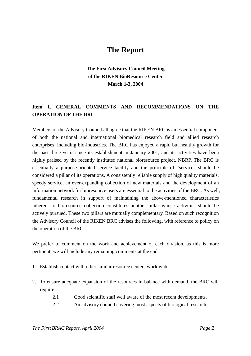## **The Report**

#### **The First Advisory Council Meeting of the RIKEN BioResource Center March 1-3, 2004**

#### **Item 1. GENERAL COMMENTS AND RECOMMENDATIONS ON THE OPERATION OF THE BRC**

Members of the Advisory Council all agree that the RIKEN BRC is an essential component of both the national and international biomedical research field and allied research enterprises, including bio-industries. The BRC has enjoyed a rapid but healthy growth for the past three years since its establishment in January 2001, and its activities have been highly praised by the recently instituted national bioresource project, NBRP. The BRC is essentially a purpose-oriented service facility and the principle of "service" should be considered a pillar of its operations. A consistently reliable supply of high quality materials, speedy service, an ever-expanding collection of new materials and the development of an information network for bioresource users are essential to the activities of the BRC. As well, fundamental research in support of maintaining the above-mentioned characteristics inherent to bioresource collection constitutes another pillar whose activities should be actively pursued. These two pillars are mutually complementary. Based on such recognition the Advisory Council of the RIKEN BRC advises the following, with reference to policy on the operation of the BRC:

We prefer to comment on the work and achievement of each division, as this is more pertinent; we will include any remaining comments at the end.

- 1. Establish contact with other similar resource centers worldwide.
- 2. To ensure adequate expansion of the resources in balance with demand, the BRC will require:
	- 2.1 Good scientific staff well aware of the most recent developments.
	- 2.2 An advisory council covering most aspects of biological research.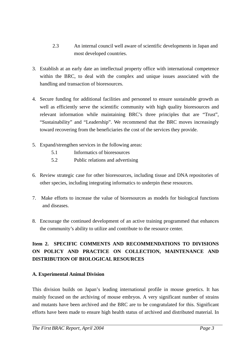- 2.3 An internal council well aware of scientific developments in Japan and most developed countries.
- 3. Establish at an early date an intellectual property office with international competence within the BRC, to deal with the complex and unique issues associated with the handling and transaction of bioresources.
- 4. Secure funding for additional facilities and personnel to ensure sustainable growth as well as efficiently serve the scientific community with high quality bioresources and relevant information while maintaining BRC's three principles that are "Trust", "Sustainability" and "Leadership". We recommend that the BRC moves increasingly toward recovering from the beneficiaries the cost of the services they provide.
- 5. Expand/strengthen services in the following areas:
	- 5.1 Informatics of bioresources
	- 5.2 Public relations and advertising
- 6. Review strategic case for other bioresources, including tissue and DNA repositories of other species, including integrating informatics to underpin these resources.
- 7. Make efforts to increase the value of bioresources as models for biological functions and diseases.
- 8. Encourage the continued development of an active training programmed that enhances the community's ability to utilize and contribute to the resource center.

#### **Item 2. SPECIFIC COMMENTS AND RECOMMENDATIONS TO DIVISIONS ON POLICY AND PRACTICE ON COLLECTION, MAINTENANCE AND DISTRIBUTION OF BIOLOGICAL RESOURCES**

#### **A. Experimental Animal Division**

This division builds on Japan's leading international profile in mouse genetics. It has mainly focused on the archiving of mouse embryos. A very significant number of strains and mutants have been archived and the BRC are to be congratulated for this. Significant efforts have been made to ensure high health status of archived and distributed material. In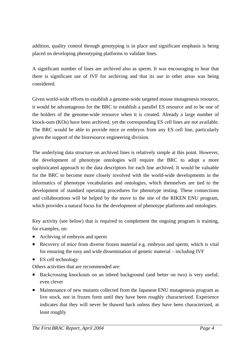addition, quality control through genotyping is in place and significant emphasis is being placed on developing phenotyping platforms to validate lines.

A significant number of lines are archived also as sperm. It was encouraging to hear that there is significant use of IVF for archiving and that its use in other areas was being considered.

Given world-wide efforts to establish a genome-wide targeted mouse mutagenesis resource, it would be advantageous for the BRC to establish a parallel ES resource and to be one of the holders of the genome-wide resource when it is created. Already a large number of knock-outs (KOs) have been archived, yet the corresponding ES cell lines are not available. The BRC would be able to provide mice or embryos from any ES cell line, particularly given the support of the bioresource engineering division.

The underlying data structure on archived lines is relatively simple at this point. However, the development of phenotype ontologies will require the BRC to adopt a more sophisticated approach to the data descriptors for each line archived. It would be valuable for the BRC to become more closely involved with the world-wide developments in the informatics of phenotype vocabularies and ontologies, which themselves are tied to the development of standard operating procedures for phenotype testing. These connections and collaborations will be helped by the move to the site of the RIKEN ENU program, which provides a natural focus for the development of phenotype platforms and ontologies.

Key activity (see below) that is required to complement the ongoing program is training, for examples, on:

- Archiving of embryos and sperm
- Recovery of mice from diverse frozen material e.g. embryos and sperm, which is vital for ensuring the easy and wide dissemination of genetic material – including IVF
- ES cell technology

Others activities that are recommended are:

- Backcrossing knockouts on an inbred background (and better on two) is very useful; even clever
- Maintenance of new mutants collected from the Japanese ENU mutagenesis program as live stock, not in frozen form until they have been roughly characterized. Experience indicates that they will never be thawed back unless they have been characterized, at least roughly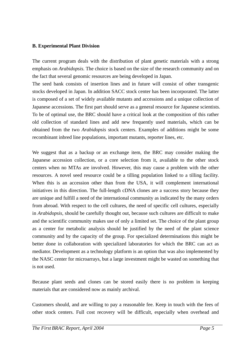#### **B. Experimental Plant Division**

The current program deals with the distribution of plant genetic materials with a strong emphasis on *Arabidopsis*. The choice is based on the size of the research community and on the fact that several genomic resources are being developed in Japan.

The seed bank consists of insertion lines and in future will consist of other transgenic stocks developed in Japan. In addition SACC stock center has been incorporated. The latter is composed of a set of widely available mutants and accessions and a unique collection of Japanese accessions. The first part should serve as a general resource for Japanese scientists. To be of optimal use, the BRC should have a critical look at the composition of this rather old collection of standard lines and add new frequently used materials, which can be obtained from the two *Arabidopsis* stock centers. Examples of additions might be some recombinant inbred line populations, important mutants, reporter lines, etc.

We suggest that as a backup or an exchange item, the BRC may consider making the Japanese accession collection, or a core selection from it, available to the other stock centers when no MTAs are involved. However, this may cause a problem with the other resources. A novel seed resource could be a tilling population linked to a tilling facility. When this is an accession other than from the USA, it will complement international initiatives in this direction. The full-length cDNA clones are a success story because they are unique and fulfill a need of the international community as indicated by the many orders from abroad. With respect to the cell cultures, the need of specific cell cultures, especially in *Arabidopsis*, should be carefully thought out, because such cultures are difficult to make and the scientific community makes use of only a limited set. The choice of the plant group as a center for metabolic analysis should be justified by the need of the plant science community and by the capacity of the group. For specialized determinations this might be better done in collaboration with specialized laboratories for which the BRC can act as mediator. Development as a technology platform is an option that was also implemented by the NASC center for microarrays, but a large investment might be wasted on something that is not used.

Because plant seeds and clones can be stored easily there is no problem in keeping materials that are considered now as mainly archival.

Customers should, and are willing to pay a reasonable fee. Keep in touch with the fees of other stock centers. Full cost recovery will be difficult, especially when overhead and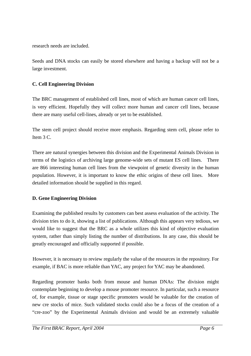research needs are included.

Seeds and DNA stocks can easily be stored elsewhere and having a backup will not be a large investment.

#### **C. Cell Engineering Division**

The BRC management of established cell lines, most of which are human cancer cell lines, is very efficient. Hopefully they will collect more human and cancer cell lines, because there are many useful cell-lines, already or yet to be established.

The stem cell project should receive more emphasis. Regarding stem cell, please refer to Item 3 C.

There are natural synergies between this division and the Experimental Animals Division in terms of the logistics of archiving large genome-wide sets of mutant ES cell lines. There are 866 interesting human cell lines from the viewpoint of genetic diversity in the human population. However, it is important to know the ethic origins of these cell lines. More detailed information should be supplied in this regard.

#### **D. Gene Engineering Division**

Examining the published results by customers can best assess evaluation of the activity. The division tries to do it, showing a list of publications. Although this appears very tedious, we would like to suggest that the BRC as a whole utilizes this kind of objective evaluation system, rather than simply listing the number of distributions. In any case, this should be greatly encouraged and officially supported if possible.

 However, it is necessary to review regularly the value of the resources in the repository. For example, if BAC is more reliable than YAC, any project for YAC may be abandoned.

Regarding promoter banks both from mouse and human DNAs: The division might contemplate beginning to develop a mouse promoter resource. In particular, such a resource of, for example, tissue or stage specific promoters would be valuable for the creation of new cre stocks of mice. Such validated stocks could also be a focus of the creation of a "cre-zoo" by the Experimental Animals division and would be an extremely valuable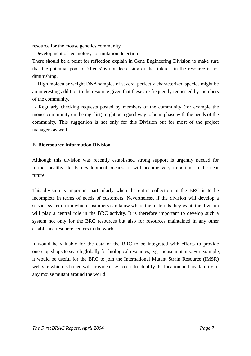resource for the mouse genetics community.

- Development of technology for mutation detection

There should be a point for reflection explain in Gene Engineering Division to make sure that the potential pool of 'clients' is not decreasing or that interest in the resource is not diminishing.

 - High molecular weight DNA samples of several perfectly characterized species might be an interesting addition to the resource given that these are frequently requested by members of the community.

- Regularly checking requests posted by members of the community (for example the mouse community on the mgi-list) might be a good way to be in phase with the needs of the community. This suggestion is not only for this Division but for most of the project managers as well.

#### **E. Bioresource Information Division**

Although this division was recently established strong support is urgently needed for further healthy steady development because it will become very important in the near future.

This division is important particularly when the entire collection in the BRC is to be incomplete in terms of needs of customers. Nevertheless, if the division will develop a service system from which customers can know where the materials they want, the division will play a central role in the BRC activity. It is therefore important to develop such a system not only for the BRC resources but also for resources maintained in any other established resource centers in the world.

It would be valuable for the data of the BRC to be integrated with efforts to provide one-stop shops to search globally for biological resources, e.g. mouse mutants. For example, it would be useful for the BRC to join the International Mutant Strain Resource (IMSR) web site which is hoped will provide easy access to identify the location and availability of any mouse mutant around the world.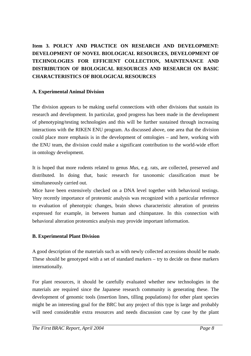#### **Item 3. POLICY AND PRACTICE ON RESEARCH AND DEVELOPMENT: DEVELOPMENT OF NOVEL BIOLOGICAL RESOURCES, DEVELOPMENT OF TECHNOLOGIES FOR EFFICIENT COLLECTION, MAINTENANCE AND DISTRIBUTION OF BIOLOGICAL RESOURCES AND RESEARCH ON BASIC CHARACTERISTICS OF BIOLOGICAL RESOURCES**

#### **A. Experimental Animal Division**

The division appears to be making useful connections with other divisions that sustain its research and development. In particular, good progress has been made in the development of phenotyping/testing technologies and this will be further sustained through increasing interactions with the RIKEN ENU program. As discussed above, one area that the division could place more emphasis is in the development of ontologies – and here, working with the ENU team, the division could make a significant contribution to the world-wide effort in ontology development.

It is hoped that more rodents related to genus *Mus*, e.g. rats, are collected, preserved and distributed. In doing that, basic research for taxonomic classification must be simultaneously carried out.

Mice have been extensively checked on a DNA level together with behavioral testings. Very recently importance of proteomic analysis was recognized with a particular reference to evaluation of phenotypic changes, brain shows characteristic alteration of proteins expressed for example, in between human and chimpanzee. In this connection with behavioral alteration proteomics analysis may provide important information.

#### **B. Experimental Plant Division**

A good description of the materials such as with newly collected accessions should be made. These should be genotyped with a set of standard markers – try to decide on these markers internationally.

For plant resources, it should be carefully evaluated whether new technologies in the materials are required since the Japanese research community is generating these. The development of genomic tools (insertion lines, tilling populations) for other plant species might be an interesting goal for the BRC but any project of this type is large and probably will need considerable extra resources and needs discussion case by case by the plant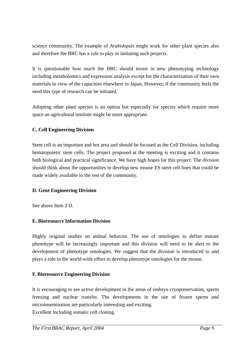science community. The example of *Arabidopsis* might work for other plant species also and therefore the BRC has a role to play in initiating such projects.

It is questionable how much the BRC should invest in new phenotyping technology including metabolomics and expression analysis except for the characterization of their own materials in view of the capacities elsewhere in Japan. However, if the community feels the need this type of research can be initiated.

Adopting other plant species is an option but especially for species which require more space an agricultural institute might be more appropriate.

#### **C. Cell Engineering Division**

Stem cell is an important and hot area and should be focused as the Cell Division, including hematopoietic stem cells. The project proposed at the meeting is exciting and it contains both biological and practical significance. We have high hopes for this project. The division should think about the opportunities to develop new mouse ES stem cell lines that could be made widely available to the rest of the community.

#### **D. Gene Engineering Division**

See above Item 2 D.

#### **E. Bioresource Information Division**

Highly original studies on animal behavior. The use of ontologies to define mutant phenotype will be increasingly important and this division will need to be alert to the development of phenotype ontologies. We suggest that the division is introduced to and plays a role in the world-wide effort to develop phenotype ontologies for the mouse.

#### **F. Bioresource Engineering Division**

It is encouraging to see active development in the areas of embryo cryopreservation, sperm freezing and nuclear transfer. The developments in the use of frozen sperm and microinsemination are particularly interesting and exciting. Excellent including somatic cell cloning.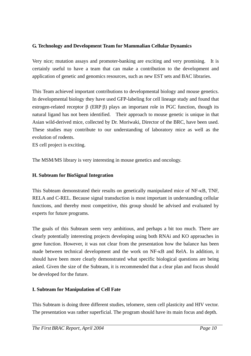#### **G. Technology and Development Team for Mammalian Cellular Dynamics**

Very nice; mutation assays and promoter-banking are exciting and very promising. It is certainly useful to have a team that can make a contribution to the development and application of genetic and genomics resources, such as new EST sets and BAC libraries.

This Team achieved important contributions to developmental biology and mouse genetics. In developmental biology they have used GFP-labeling for cell lineage study and found that estrogen-related receptor  $\beta$  (ERP  $\beta$ ) plays an important role in PGC function, though its natural ligand has not been identified. Their approach to mouse genetic is unique in that Asian wild-derived mice, collected by Dr. Moriwaki, Director of the BRC, have been used. These studies may contribute to our understanding of laboratory mice as well as the evolution of rodents.

ES cell project is exciting.

The MSM/MS library is very interesting in mouse genetics and oncology.

#### **H. Subteam for BioSignal Integration**

This Subteam demonstrated their results on genetically manipulated mice of NF-κB, TNF, RELA and C-REL. Because signal transduction is most important in understanding cellular functions, and thereby most competitive, this group should be advised and evaluated by experts for future programs.

The goals of this Subteam seem very ambitious, and perhaps a bit too much. There are clearly potentially interesting projects developing using both RNAi and KO approaches in gene function. However, it was not clear from the presentation how the balance has been made between technical development and the work on NF-κB and RelA. In addition, it should have been more clearly demonstrated what specific biological questions are being asked. Given the size of the Subteam, it is recommended that a clear plan and focus should be developed for the future.

#### **I. Subteam for Manipulation of Cell Fate**

This Subteam is doing three different studies, telomere, stem cell plasticity and HIV vector. The presentation was rather superficial. The program should have its main focus and depth.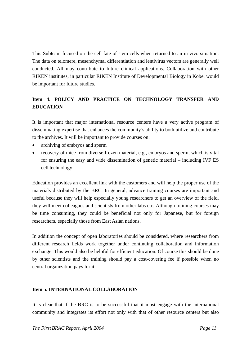This Subteam focused on the cell fate of stem cells when returned to an in-vivo situation. The data on telomere, mesenchymal differentiation and lentivirus vectors are generally well conducted. All may contribute to future clinical applications. Collaboration with other RIKEN institutes, in particular RIKEN Institute of Developmental Biology in Kobe, would be important for future studies.

#### **Item 4**. **POLICY AND PRACTICE ON TECHNOLOGY TRANSFER AND EDUCATION**

It is important that major international resource centers have a very active program of disseminating expertise that enhances the community's ability to both utilize and contribute to the archives. It will be important to provide courses on:

- archiving of embryos and sperm
- recovery of mice from diverse frozen material, e.g., embryos and sperm, which is vital for ensuring the easy and wide dissemination of genetic material – including IVF ES cell technology

Education provides an excellent link with the customers and will help the proper use of the materials distributed by the BRC. In general, advance training courses are important and useful because they will help especially young researchers to get an overview of the field, they will meet colleagues and scientists from other labs etc. Although training courses may be time consuming, they could be beneficial not only for Japanese, but for foreign researchers, especially those from East Asian nations.

In addition the concept of open laboratories should be considered, where researchers from different research fields work together under continuing collaboration and information exchange. This would also be helpful for efficient education. Of course this should be done by other scientists and the training should pay a cost-covering fee if possible when no central organization pays for it.

#### **Item 5. INTERNATIONAL COLLABORATION**

It is clear that if the BRC is to be successful that it must engage with the international community and integrates its effort not only with that of other resource centers but also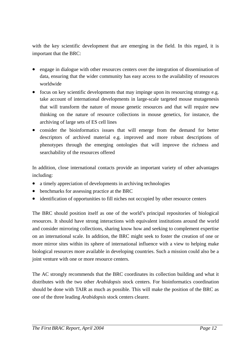with the key scientific development that are emerging in the field. In this regard, it is important that the BRC:

- engage in dialogue with other resources centers over the integration of dissemination of data, ensuring that the wider community has easy access to the availability of resources worldwide
- focus on key scientific developments that may impinge upon its resourcing strategy e.g. take account of international developments in large-scale targeted mouse mutagenesis that will transform the nature of mouse genetic resources and that will require new thinking on the nature of resource collections in mouse genetics, for instance, the archiving of large sets of ES cell lines
- consider the bioinformatics issues that will emerge from the demand for better descriptors of archived material e.g. improved and more robust descriptions of phenotypes through the emerging ontologies that will improve the richness and searchability of the resources offered

In addition, close international contacts provide an important variety of other advantages including:

- a timely appreciation of developments in archiving technologies
- benchmarks for assessing practice at the BRC
- identification of opportunities to fill niches not occupied by other resource centers

The BRC should position itself as one of the world's principal repositories of biological resources. It should have strong interactions with equivalent institutions around the world and consider mirroring collections, sharing know how and seeking to complement expertise on an international scale. In addition, the BRC might seek to foster the creation of one or more mirror sites within its sphere of international influence with a view to helping make biological resources more available in developing countries. Such a mission could also be a joint venture with one or more resource centers.

The AC strongly recommends that the BRC coordinates its collection building and what it distributes with the two other *Arabidopsis* stock centers. For bioinformatics coordination should be done with TAIR as much as possible. This will make the position of the BRC as one of the three leading *Arabidopsis* stock centers clearer.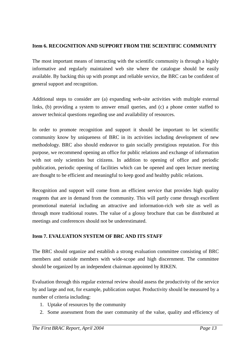#### **Item 6. RECOGNITION AND SUPPORT FROM THE SCIENTIFIC COMMUNITY**

The most important means of interacting with the scientific community is through a highly informative and regularly maintained web site where the catalogue should be easily available. By backing this up with prompt and reliable service, the BRC can be confident of general support and recognition.

Additional steps to consider are (a) expanding web-site activities with multiple external links, (b) providing a system to answer email queries, and (c) a phone center staffed to answer technical questions regarding use and availability of resources.

In order to promote recognition and support it should be important to let scientific community know by uniqueness of BRC in its activities including development of new methodology. BRC also should endeavor to gain socially prestigious reputation. For this purpose, we recommend opening an office for public relations and exchange of information with not only scientists but citizens. In addition to opening of office and periodic publication, periodic opening of facilities which can be opened and open lecture meeting are thought to be efficient and meaningful to keep good and healthy public relations.

Recognition and support will come from an efficient service that provides high quality reagents that are in demand from the community. This will partly come through excellent promotional material including an attractive and information-rich web site as well as through more traditional routes. The value of a glossy brochure that can be distributed at meetings and conferences should not be underestimated.

#### **Item 7. EVALUATION SYSTEM OF BRC AND ITS STAFF**

The BRC should organize and establish a strong evaluation committee consisting of BRC members and outside members with wide-scope and high discernment. The committee should be organized by an independent chairman appointed by RIKEN.

Evaluation through this regular external review should assess the productivity of the service by and large and not, for example, publication output. Productivity should be measured by a number of criteria including:

- 1. Uptake of resources by the community
- 2. Some assessment from the user community of the value, quality and efficiency of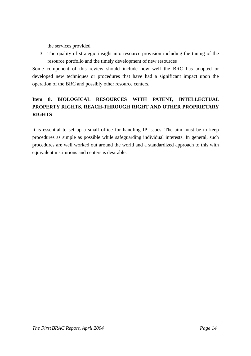the services provided

3. The quality of strategic insight into resource provision including the tuning of the resource portfolio and the timely development of new resources

Some component of this review should include how well the BRC has adopted or developed new techniques or procedures that have had a significant impact upon the operation of the BRC and possibly other resource centers.

#### **Item 8. BIOLOGICAL RESOURCES WITH PATENT, INTELLECTUAL PROPERTY RIGHTS, REACH-THROUGH RIGHT AND OTHER PROPRIETARY RIGHTS**

It is essential to set up a small office for handling IP issues. The aim must be to keep procedures as simple as possible while safeguarding individual interests. In general, such procedures are well worked out around the world and a standardized approach to this with equivalent institutions and centers is desirable.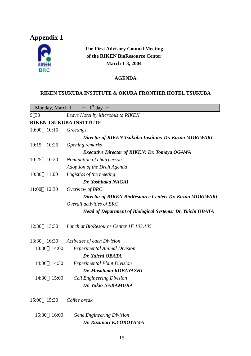## **Appendix 1**



#### **The First Advisory Council Meeting of the RIKEN BioResource Center March 1-3, 2004**

#### **AGENDA**

#### **RIKEN TSUKUBA INSTITUTE & OKURA FRONTIER HOTEL TSUKUBA**

|                                | Monday, March 1 | $1st$ day                                                         |  |  |
|--------------------------------|-----------------|-------------------------------------------------------------------|--|--|
| 9 30                           |                 | Leave Hotel by Microbus to RIKEN                                  |  |  |
| <b>RIKEN TSUKUBA INSTITUTE</b> |                 |                                                                   |  |  |
| 10:00                          | 10:15           | Greetings                                                         |  |  |
|                                |                 | Director of RIKEN Tsukuba Institute: Dr. Kazuo MORIWAKI           |  |  |
| 10:15                          | 10:25           | Opening remarks                                                   |  |  |
|                                |                 | <b>Executive Director of RIKEN: Dr. Tomoya OGAWA</b>              |  |  |
| 10:25                          | 10:30           | Nomination of chairperson                                         |  |  |
|                                |                 | Adoption of the Draft Agenda                                      |  |  |
| 10:30                          | 11:00           | Logistics of the meeting                                          |  |  |
|                                |                 | Dr. Yoshitaka NAGAI                                               |  |  |
| 11:00                          | 12:30           | Overview of BRC                                                   |  |  |
|                                |                 | Director of RIKEN BioResource Center: Dr. Kazuo MORIWAKI          |  |  |
|                                |                 | Overall activities of BRC                                         |  |  |
|                                |                 | <b>Head of Department of Biological Systems: Dr. Yuichi OBATA</b> |  |  |
| 12:30                          | 13:30           | Lunch at BioResource Center 1F 103,105                            |  |  |
| 13:30                          | 16:30           | Activities of each Division                                       |  |  |
| 13:30                          | 14:00           | <b>Experimental Animal Division</b>                               |  |  |
|                                |                 | Dr. Yuichi OBATA                                                  |  |  |
| 14:00                          | 14:30           | <b>Experimental Plant Division</b>                                |  |  |
|                                |                 | Dr. Masatomo KOBAYASHI                                            |  |  |
| 14:30                          | 15:00           | <b>Cell Engineering Division</b>                                  |  |  |
|                                |                 | Dr. Yukio NAKAMURA                                                |  |  |
| 15:00                          | 15:30           | Coffee break                                                      |  |  |
| 15:30                          | 16:00           | <b>Gene Engineering Division</b>                                  |  |  |

*Dr. Kazunari K.YOKOYAMA*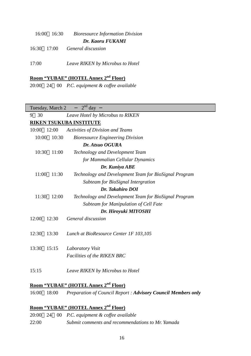|       | 16:00 16:30 | <b>Bioresource Information Division</b> |
|-------|-------------|-----------------------------------------|
|       |             | Dr. Kaoru FUKAMI                        |
|       |             | $16:30$ $17:00$ General discussion      |
|       |             |                                         |
| 17:00 |             | Leave RIKEN by Microbus to Hotel        |

#### **Room "YUBAE" (HOTEL Annex 2nd Floor)**

20:00 24 00 *P.C. equipment & coffee available* 

| $2nd$ day<br>Tuesday, March 2               |                                                       |  |  |  |
|---------------------------------------------|-------------------------------------------------------|--|--|--|
| 30<br>9<br>Leave Hotel by Microbus to RIKEN |                                                       |  |  |  |
|                                             | <b>RIKEN TSUKUBA INSTITUTE</b>                        |  |  |  |
| 10:00<br>12:00                              | Activities of Division and Teams                      |  |  |  |
| 10:00<br>10:30                              | <b>Bioresource Engineering Division</b>               |  |  |  |
|                                             | Dr. Atsuo OGURA                                       |  |  |  |
| 10:30<br>11:00                              | Technology and Development Team                       |  |  |  |
|                                             | for Mammalian Cellular Dynamics                       |  |  |  |
|                                             | Dr. Kuniya ABE                                        |  |  |  |
| 11:00<br>11:30                              | Technology and Development Team for BioSignal Program |  |  |  |
|                                             | Subteam for BioSignal Intergration                    |  |  |  |
|                                             | Dr. Takahiro DOI                                      |  |  |  |
| 11:30<br>12:00                              | Technology and Development Team for BioSignal Program |  |  |  |
|                                             | Subteam for Manipulation of Cell Fate                 |  |  |  |
| Dr. Hiroyuki MIYOSHI                        |                                                       |  |  |  |
| 12:00<br>12:30                              | General discussion                                    |  |  |  |
|                                             |                                                       |  |  |  |
| 12:30<br>13:30                              | Lunch at BioResource Center 1F 103,105                |  |  |  |
|                                             |                                                       |  |  |  |
| 13:30<br>15:15                              | Laboratory Visit                                      |  |  |  |
|                                             | <b>Facilities of the RIKEN BRC</b>                    |  |  |  |
|                                             |                                                       |  |  |  |
| 15:15                                       | Leave RIKEN by Microbus to Hotel                      |  |  |  |
|                                             | nd                                                    |  |  |  |

#### **Room "YUBAE" (HOTEL Annex 2nd Floor)**

16:00 18:00 *Preparation of Council Report : Advisory Council Members only*

#### **Room "YUBAE" (HOTEL Annex 2nd Floor)**

- 20:00 24 00 *P.C. equipment & coffee available*
- 22:00 *Submit comments and recommendations to Mr. Yamada*